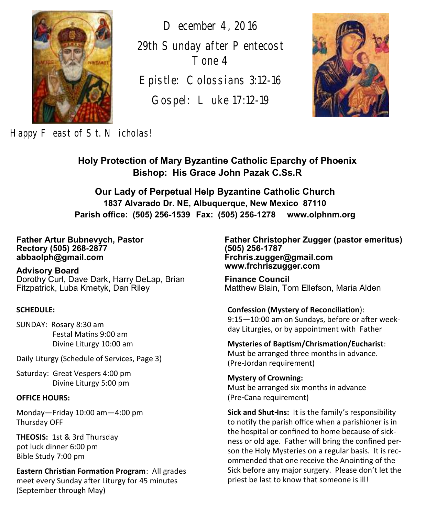

*December 4, 2016 29th Sunday after Pentecost Tone 4*

*Epistle: Colossians 3:12-16*

*Gospel: Luke 17:12-19*



Happy F east of St. N icholas!

**Holy Protection of Mary Byzantine Catholic Eparchy of Phoenix Bishop: His Grace John Pazak C.Ss.R**

**Our Lady of Perpetual Help Byzantine Catholic Church 1837 Alvarado Dr. NE, Albuquerque, New Mexico 87110 Parish office: (505) 256-1539 Fax: (505) 256-1278 www.olphnm.org**

#### **Father Artur Bubnevych, Pastor Rectory (505) 268-2877 abbaolph@gmail.com**

**Advisory Board**  Dorothy Curl, Dave Dark, Harry DeLap, Brian Fitzpatrick, Luba Kmetyk, Dan Riley

#### **SCHEDULE:**

SUNDAY: Rosary 8:30 am Festal Matins 9:00 am Divine Liturgy 10:00 am

Daily Liturgy (Schedule of Services, Page 3)

Saturday: Great Vespers 4:00 pm Divine Liturgy 5:00 pm

#### **OFFICE HOURS:**

Monday—Friday 10:00 am—4:00 pm Thursday OFF

**THEOSIS:** 1st & 3rd Thursday pot luck dinner 6:00 pm Bible Study 7:00 pm

**Eastern Christian Formation Program**: All grades meet every Sunday after Liturgy for 45 minutes (September through May)

**Father Christopher Zugger (pastor emeritus) (505) 256-1787 Frchris.zugger@gmail.com www.frchriszugger.com** 

**Finance Council**  Matthew Blain, Tom Ellefson, Maria Alden

**Confession (Mystery of Reconciliation**): 9:15—10:00 am on Sundays, before or after weekday Liturgies, or by appointment with Father

**Mysteries of Baptism/Chrismation/Eucharist**: Must be arranged three months in advance. (Pre-Jordan requirement)

**Mystery of Crowning:**  Must be arranged six months in advance (Pre-Cana requirement)

**Sick and Shut-Ins:** It is the family's responsibility to notify the parish office when a parishioner is in the hospital or confined to home because of sickness or old age. Father will bring the confined person the Holy Mysteries on a regular basis. It is recommended that one receive the Anointing of the Sick before any major surgery. Please don't let the priest be last to know that someone is ill!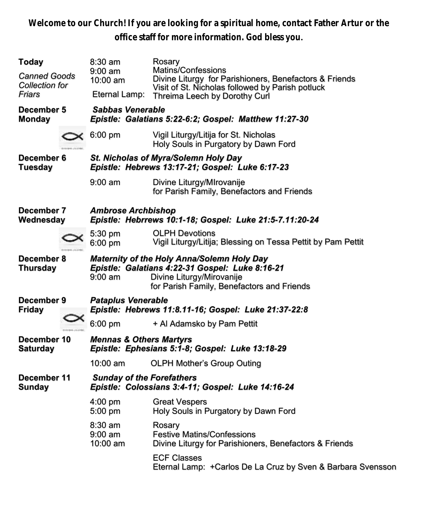**Welcome to our Church! If you are looking for a spiritual home, contact Father Artur or the office staff for more information. God bless you.**

| Today<br><b>Canned Goods</b><br>Collection for<br>Friars |  | $8:30$ am<br>$9:00 \text{ am}$<br>10:00 am<br>Eternal Lamp:                                                                                                                                          | Rosary<br>Matins/Confessions<br>Divine Liturgy for Parishioners, Benefactors & Friends<br>Visit of St. Nicholas followed by Parish potluck<br>Threima Leech by Dorothy Curl |  |  |
|----------------------------------------------------------|--|------------------------------------------------------------------------------------------------------------------------------------------------------------------------------------------------------|-----------------------------------------------------------------------------------------------------------------------------------------------------------------------------|--|--|
| December 5<br><b>Monday</b>                              |  | Sabbas Venerable<br>Epistle: Galatians 5:22-6:2; Gospel: Matthew 11:27-30                                                                                                                            |                                                                                                                                                                             |  |  |
|                                                          |  | $6:00$ pm                                                                                                                                                                                            | Vigil Liturgy/Litija for St. Nicholas<br>Holy Souls in Purgatory by Dawn Ford                                                                                               |  |  |
| December 6<br>Tuesday                                    |  | St. Nicholas of Myra/Solemn Holy Day<br>Epistle: Hebrews 13:17-21; Gospel: Luke 6:17-23                                                                                                              |                                                                                                                                                                             |  |  |
|                                                          |  | $9:00 \text{ am}$                                                                                                                                                                                    | Divine Liturgy/MIrovanije<br>for Parish Family, Benefactors and Friends                                                                                                     |  |  |
| December 7<br>Wednesday                                  |  | <b>Ambrose Archbishop</b><br>Epistle: Hebrrews 10:1-18; Gospel: Luke 21:5-7.11:20-24                                                                                                                 |                                                                                                                                                                             |  |  |
|                                                          |  | 5:30 pm<br>$6:00$ pm                                                                                                                                                                                 | <b>OLPH Devotions</b><br>Vigil Liturgy/Litija; Blessing on Tessa Pettit by Pam Pettit                                                                                       |  |  |
| December 8<br><b>Thursday</b>                            |  | <b>Maternity of the Holy Anna/Solemn Holy Day</b><br>Epistle: Galatians 4:22-31 Gospel: Luke 8:16-21<br>Divine Liturgy/Mirovanije<br>$9:00 \text{ am}$<br>for Parish Family, Benefactors and Friends |                                                                                                                                                                             |  |  |
| December 9<br><b>Friday</b>                              |  | <b>Pataplus Venerable</b><br>Epistle: Hebrews 11:8.11-16; Gospel: Luke 21:37-22:8                                                                                                                    |                                                                                                                                                                             |  |  |
|                                                          |  | $6:00$ pm                                                                                                                                                                                            | + Al Adamsko by Pam Pettit                                                                                                                                                  |  |  |
| December 10<br><b>Saturday</b>                           |  | <b>Mennas &amp; Others Martyrs</b><br>Epistle: Ephesians 5:1-8; Gospel: Luke 13:18-29                                                                                                                |                                                                                                                                                                             |  |  |
|                                                          |  | 10:00 am                                                                                                                                                                                             | <b>OLPH Mother's Group Outing</b>                                                                                                                                           |  |  |
| December 11<br><b>Sunday</b>                             |  | <b>Sunday of the Forefathers</b><br>Epistle: Colossians 3:4-11; Gospel: Luke 14:16-24                                                                                                                |                                                                                                                                                                             |  |  |
|                                                          |  | 4:00 pm<br>5:00 pm                                                                                                                                                                                   | <b>Great Vespers</b><br>Holy Souls in Purgatory by Dawn Ford                                                                                                                |  |  |
|                                                          |  | $8:30$ am<br>$9:00 \text{ am}$<br>10:00 am                                                                                                                                                           | Rosary<br><b>Festive Matins/Confessions</b><br>Divine Liturgy for Parishioners, Benefactors & Friends                                                                       |  |  |
|                                                          |  |                                                                                                                                                                                                      | <b>ECF Classes</b><br>Eternal Lamp: + Carlos De La Cruz by Sven & Barbara Svensson                                                                                          |  |  |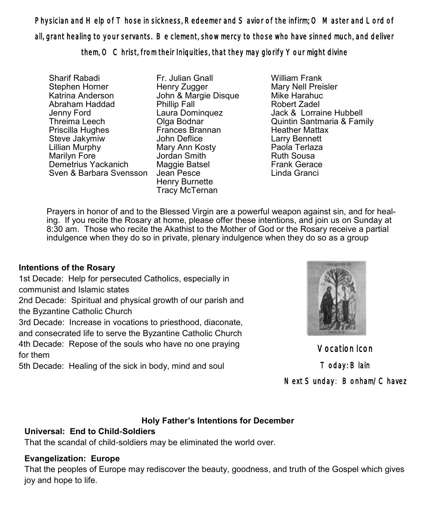Physician and Help of T hose in sickness, Redeemer and S avior of the infirm; O Master and Lord of all, grant healing to your servants. Be clement, show mercy to those who have sinned much, and deliver them, O Christ, from their Iniquities, that they may glorify Your might divine

Sharif Rabadi Stephen Horner Katrina Anderson Abraham Haddad Jenny Ford Threima Leech Priscilla Hughes Steve Jakymiw Lillian Murphy Marilyn Fore Demetrius Yackanich Sven & Barbara Svensson

Fr. Julian Gnall Henry Zugger John & Margie Disque Phillip Fall Laura Dominquez Olga Bodnar Frances Brannan John Deflice Mary Ann Kosty Jordan Smith Maggie Batsel Jean Pesce Henry Burnette Tracy McTernan

William Frank Mary Nell Preisler Mike Harahuc Robert Zadel Jack & Lorraine Hubbell Quintin Santmaria & Family Heather Mattax Larry Bennett Paola Terlaza Ruth Sousa Frank Gerace Linda Granci

Prayers in honor of and to the Blessed Virgin are a powerful weapon against sin, and for healing. If you recite the Rosary at home, please offer these intentions, and join us on Sunday at 8:30 am. Those who recite the Akathist to the Mother of God or the Rosary receive a partial indulgence when they do so in private, plenary indulgence when they do so as a group

## **Intentions of the Rosary**

1st Decade: Help for persecuted Catholics, especially in communist and Islamic states

2nd Decade: Spiritual and physical growth of our parish and the Byzantine Catholic Church

3rd Decade: Increase in vocations to priesthood, diaconate,

and consecrated life to serve the Byzantine Catholic Church

4th Decade: Repose of the souls who have no one praying for them

5th Decade: Healing of the sick in body, mind and soul



Vocation Icon Today: Blain Next Sunday: Bonham/Chavez

#### **Holy Father's Intentions for December**

## **Universal: End to Child-Soldiers**

That the scandal of child-soldiers may be eliminated the world over.

## **Evangelization: Europe**

That the peoples of Europe may rediscover the beauty, goodness, and truth of the Gospel which gives joy and hope to life.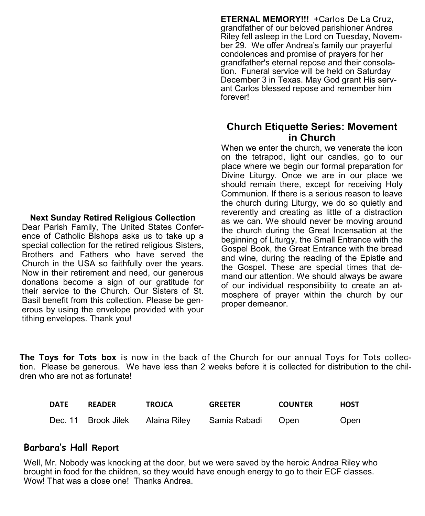#### **Next Sunday Retired Religious Collection**

Dear Parish Family, The United States Conference of Catholic Bishops asks us to take up a special collection for the retired religious Sisters, Brothers and Fathers who have served the Church in the USA so faithfully over the years. Now in their retirement and need, our generous donations become a sign of our gratitude for their service to the Church. Our Sisters of St. Basil benefit from this collection. Please be generous by using the envelope provided with your tithing envelopes. Thank you!

**ETERNAL MEMORY!!!** +Carlos De La Cruz, grandfather of our beloved parishioner Andrea Riley fell asleep in the Lord on Tuesday, November 29. We offer Andrea's family our prayerful condolences and promise of prayers for her grandfather's eternal repose and their consolation. Funeral service will be held on Saturday December 3 in Texas. May God grant His servant Carlos blessed repose and remember him forever!

### **Church Etiquette Series: Movement in Church**

When we enter the church, we venerate the icon on the tetrapod, light our candles, go to our place where we begin our formal preparation for Divine Liturgy. Once we are in our place we should remain there, except for receiving Holy Communion. If there is a serious reason to leave the church during Liturgy, we do so quietly and reverently and creating as little of a distraction as we can. We should never be moving around the church during the Great Incensation at the beginning of Liturgy, the Small Entrance with the Gospel Book, the Great Entrance with the bread and wine, during the reading of the Epistle and the Gospel. These are special times that demand our attention. We should always be aware of our individual responsibility to create an atmosphere of prayer within the church by our proper demeanor.

**The Toys for Tots box** is now in the back of the Church for our annual Toys for Tots collection. Please be generous. We have less than 2 weeks before it is collected for distribution to the children who are not as fortunate!

| <b>DATE</b> | <b>READER</b>       | <b>TROJCA</b> | <b>GREETER</b> | <b>COUNTER</b> | HOST |
|-------------|---------------------|---------------|----------------|----------------|------|
|             | Dec. 11 Brook Jilek | Alaina Riley  | Samia Rabadi   | Open           | Open |

#### **Barbara's Hall Report**

Well, Mr. Nobody was knocking at the door, but we were saved by the heroic Andrea Riley who brought in food for the children, so they would have enough energy to go to their ECF classes. Wow! That was a close one! Thanks Andrea.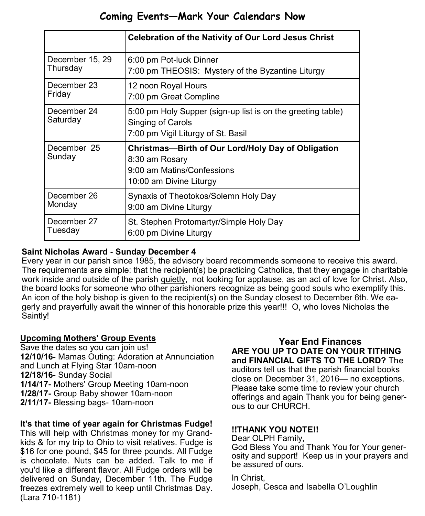## **Coming Events—Mark Your Calendars Now**

|                         | <b>Celebration of the Nativity of Our Lord Jesus Christ</b>                                                                   |  |  |
|-------------------------|-------------------------------------------------------------------------------------------------------------------------------|--|--|
| December 15, 29         | 6:00 pm Pot-luck Dinner                                                                                                       |  |  |
| Thursday                | 7:00 pm THEOSIS: Mystery of the Byzantine Liturgy                                                                             |  |  |
| December 23             | 12 noon Royal Hours                                                                                                           |  |  |
| Friday                  | 7:00 pm Great Compline                                                                                                        |  |  |
| December 24<br>Saturday | 5:00 pm Holy Supper (sign-up list is on the greeting table)<br>Singing of Carols<br>7:00 pm Vigil Liturgy of St. Basil        |  |  |
| December 25<br>Sunday   | Christmas-Birth of Our Lord/Holy Day of Obligation<br>8:30 am Rosary<br>9:00 am Matins/Confessions<br>10:00 am Divine Liturgy |  |  |
| December 26             | Synaxis of Theotokos/Solemn Holy Day                                                                                          |  |  |
| Monday                  | 9:00 am Divine Liturgy                                                                                                        |  |  |
| December 27             | St. Stephen Protomartyr/Simple Holy Day                                                                                       |  |  |
| Tuesday                 | 6:00 pm Divine Liturgy                                                                                                        |  |  |

#### **Saint Nicholas Award - Sunday December 4**

Every year in our parish since 1985, the advisory board recommends someone to receive this award. The requirements are simple: that the recipient(s) be practicing Catholics, that they engage in charitable work inside and outside of the parish quietly, not looking for applause, as an act of love for Christ. Also, the board looks for someone who other parishioners recognize as being good souls who exemplify this. An icon of the holy bishop is given to the recipient(s) on the Sunday closest to December 6th. We eagerly and prayerfully await the winner of this honorable prize this year!!! O, who loves Nicholas the Saintly!

#### **Upcoming Mothers' Group Events**

Save the dates so you can join us! **12/10/16-** Mamas Outing: Adoration at Annunciation and Lunch at Flying Star 10am-noon **12/18/16-** Sunday Social **1/14/17-** Mothers' Group Meeting 10am-noon **1/28/17-** Group Baby shower 10am-noon **2/11/17-** Blessing bags- 10am-noon

#### **It's that time of year again for Christmas Fudge!**

This will help with Christmas money for my Grandkids & for my trip to Ohio to visit relatives. Fudge is \$16 for one pound, \$45 for three pounds. All Fudge is chocolate. Nuts can be added. Talk to me if you'd like a different flavor. All Fudge orders will be delivered on Sunday, December 11th. The Fudge freezes extremely well to keep until Christmas Day. (Lara 710-1181)

**Year End Finances ARE YOU UP TO DATE ON YOUR TITHING and FINANCIAL GIFTS TO THE LORD?** The auditors tell us that the parish financial books close on December 31, 2016— no exceptions. Please take some time to review your church offerings and again Thank you for being generous to our CHURCH.

#### **!!THANK YOU NOTE!!**

Dear OLPH Family, God Bless You and Thank You for Your generosity and support! Keep us in your prayers and be assured of ours.

In Christ, Joseph, Cesca and Isabella O'Loughlin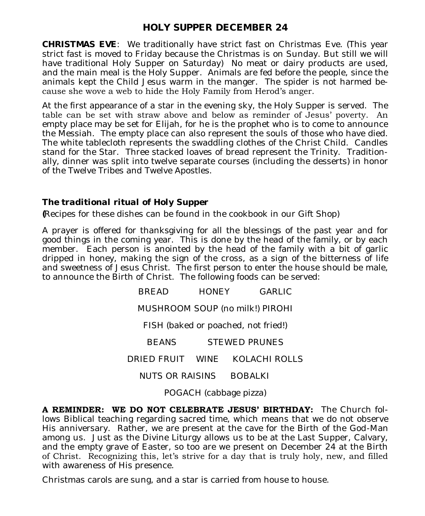## **HOLY SUPPER DECEMBER 24**

*CHRISTMAS EVE*: We traditionally have strict fast on Christmas Eve. (This year strict fast is moved to Friday because the Christmas is on Sunday. But still we will have traditional Holy Supper on Saturday) No meat or dairy products are used, and the main meal is the Holy Supper. Animals are fed before the people, since the animals kept the Child Jesus warm in the manger. The spider is not harmed because she wove a web to hide the Holy Family from Herod's anger.

At the first appearance of a star in the evening sky, the Holy Supper is served. The table can be set with straw above and below as reminder of Jesus' poverty. An empty place may be set for Elijah, for he is the prophet who is to come to announce the Messiah. The empty place can also represent the souls of those who have died. The white tablecloth represents the swaddling clothes of the Christ Child. Candles stand for the Star. Three stacked loaves of bread represent the Trinity. Traditionally, dinner was split into twelve separate courses (including the desserts) in honor of the Twelve Tribes and Twelve Apostles.

#### *The traditional ritual of Holy Supper*

*(*Recipes for these dishes can be found in the cookbook in our Gift Shop)

A prayer is offered for thanksgiving for all the blessings of the past year and for good things in the coming year. This is done by the head of the family, or by each member. Each person is anointed by the head of the family with a bit of garlic dripped in honey, making the sign of the cross, as a sign of the bitterness of life and sweetness of Jesus Christ. The first person to enter the house should be male, to announce the Birth of Christ. The following foods can be served:

> BREAD HONEY GARLIC MUSHROOM SOUP (no milk!) PIROHI FISH (baked or poached, not fried!) BEANS STEWED PRUNES DRIED FRUIT WINE KOLACHI ROLLS NUTS OR RAISINS BOBALKI

POGACH (cabbage pizza)

**A REMINDER: WE DO NOT CELEBRATE JESUS' BIRTHDAY:** The Church follows Biblical teaching regarding sacred time, which means that we do not observe His anniversary. Rather, we are present at the cave for the Birth of the God-Man among us. Just as the Divine Liturgy allows us to be at the Last Supper, Calvary, and the empty grave of Easter, so too are we present on December 24 at the Birth of Christ. Recognizing this, let's strive for a day that is truly holy, new, and filled with awareness of His presence.

Christmas carols are sung, and a star is carried from house to house.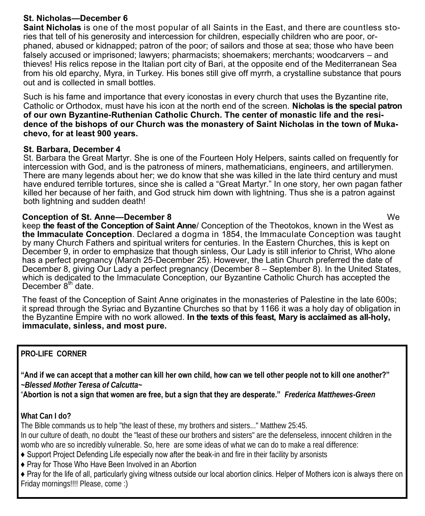#### **St. Nicholas—December 6**

**Saint Nicholas** is one of the most popular of all Saints in the East, and there are countless stories that tell of his generosity and intercession for children, especially children who are poor, orphaned, abused or kidnapped; patron of the poor; of sailors and those at sea; those who have been falsely accused or imprisoned; lawyers; pharmacists; shoemakers; merchants; woodcarvers – and thieves! His relics repose in the Italian port city of Bari, at the opposite end of the Mediterranean Sea from his old eparchy, Myra, in Turkey. His bones still give off myrrh, a crystalline substance that pours out and is collected in small bottles.

Such is his fame and importance that every iconostas in every church that uses the Byzantine rite, Catholic or Orthodox, must have his icon at the north end of the screen. **Nicholas is the special patron of our own Byzantine-Ruthenian Catholic Church. The center of monastic life and the residence of the bishops of our Church was the monastery of Saint Nicholas in the town of Mukachevo, for at least 900 years.** 

#### **St. Barbara, December 4**

St. Barbara the Great Martyr. She is one of the Fourteen Holy Helpers, saints called on frequently for intercession with God, and is the patroness of miners, mathematicians, engineers, and artillerymen. There are many legends about her; we do know that she was killed in the late third century and must have endured terrible tortures, since she is called a "Great Martyr." In one story, her own pagan father killed her because of her faith, and God struck him down with lightning. Thus she is a patron against both lightning and sudden death!

#### **Conception of St. Anne—December 8** We

keep **the feast of the Conception of Saint Anne**/ Conception of the Theotokos, known in the West as **the Immaculate Conception**. Declared a dogma in 1854, the Immaculate Conception was taught by many Church Fathers and spiritual writers for centuries. In the Eastern Churches, this is kept on December 9, in order to emphasize that though sinless, Our Lady is still inferior to Christ, Who alone has a perfect pregnancy (March 25-December 25). However, the Latin Church preferred the date of December 8, giving Our Lady a perfect pregnancy (December 8 – September 8). In the United States, which is dedicated to the Immaculate Conception, our Byzantine Catholic Church has accepted the December  $8<sup>th</sup>$  date.

The feast of the Conception of Saint Anne originates in the monasteries of Palestine in the late 600s; it spread through the Syriac and Byzantine Churches so that by 1166 it was a holy day of obligation in the Byzantine Empire with no work allowed. **In the texts of this feast, Mary is acclaimed as all-holy, immaculate, sinless, and most pure.** 

## **PRO-LIFE CORNER**

**"And if we can accept that a mother can kill her own child, how can we tell other people not to kill one another?"**  *~Blessed Mother Teresa of Calcutta~* 

"**Abortion is not a sign that women are free, but a sign that they are desperate."** *Frederica Matthewes-Green*

**What Can I do?** 

The Bible commands us to help "the least of these, my brothers and sisters..." Matthew 25:45.

In our culture of death, no doubt the "least of these our brothers and sisters" are the defenseless, innocent children in the womb who are so incredibly vulnerable. So, here are some ideas of what we can do to make a real difference:

♦ Support Project Defending Life especially now after the beak-in and fire in their facility by arsonists

♦ Pray for Those Who Have Been Involved in an Abortion

♦ Pray for the life of all, particularly giving witness outside our local abortion clinics. Helper of Mothers icon is always there on Friday mornings!!!! Please, come :)